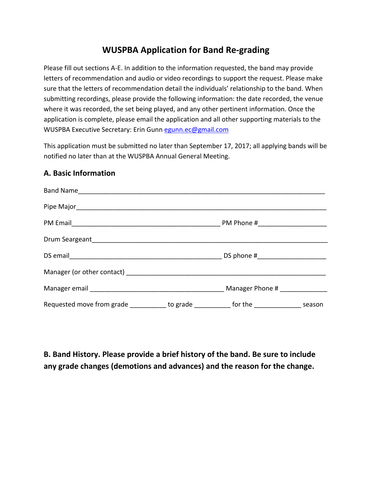## **WUSPBA Application for Band Re-grading**

Please fill out sections A-E. In addition to the information requested, the band may provide letters of recommendation and audio or video recordings to support the request. Please make sure that the letters of recommendation detail the individuals' relationship to the band. When submitting recordings, please provide the following information: the date recorded, the venue where it was recorded, the set being played, and any other pertinent information. Once the application is complete, please email the application and all other supporting materials to the WUSPBA Executive Secretary: Erin Gunn egunn.ec@gmail.com

This application must be submitted no later than September 17, 2017; all applying bands will be notified no later than at the WUSPBA Annual General Meeting.

## **A. Basic Information**

| Band Name                                                                                |  |  |
|------------------------------------------------------------------------------------------|--|--|
|                                                                                          |  |  |
|                                                                                          |  |  |
|                                                                                          |  |  |
|                                                                                          |  |  |
|                                                                                          |  |  |
|                                                                                          |  |  |
| Requested move from grade ____________ to grade ___________ for the _____________ season |  |  |

**B. Band History. Please provide a brief history of the band. Be sure to include any grade changes (demotions and advances) and the reason for the change.**